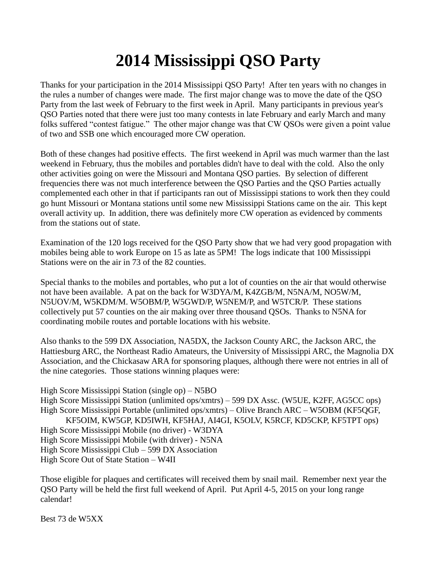## **2014 Mississippi QSO Party**

Thanks for your participation in the 2014 Mississippi QSO Party! After ten years with no changes in the rules a number of changes were made. The first major change was to move the date of the QSO Party from the last week of February to the first week in April. Many participants in previous year's QSO Parties noted that there were just too many contests in late February and early March and many folks suffered "contest fatigue." The other major change was that CW QSOs were given a point value of two and SSB one which encouraged more CW operation.

Both of these changes had positive effects. The first weekend in April was much warmer than the last weekend in February, thus the mobiles and portables didn't have to deal with the cold. Also the only other activities going on were the Missouri and Montana QSO parties. By selection of different frequencies there was not much interference between the QSO Parties and the QSO Parties actually complemented each other in that if participants ran out of Mississippi stations to work then they could go hunt Missouri or Montana stations until some new Mississippi Stations came on the air. This kept overall activity up. In addition, there was definitely more CW operation as evidenced by comments from the stations out of state.

Examination of the 120 logs received for the QSO Party show that we had very good propagation with mobiles being able to work Europe on 15 as late as 5PM! The logs indicate that 100 Mississippi Stations were on the air in 73 of the 82 counties.

Special thanks to the mobiles and portables, who put a lot of counties on the air that would otherwise not have been available. A pat on the back for W3DYA/M, K4ZGB/M, N5NA/M, NO5W/M, N5UOV/M, W5KDM/M. W5OBM/P, W5GWD/P, W5NEM/P, and W5TCR/P. These stations collectively put 57 counties on the air making over three thousand QSOs. Thanks to N5NA for coordinating mobile routes and portable locations with his website.

Also thanks to the 599 DX Association, NA5DX, the Jackson County ARC, the Jackson ARC, the Hattiesburg ARC, the Northeast Radio Amateurs, the University of Mississippi ARC, the Magnolia DX Association, and the Chickasaw ARA for sponsoring plaques, although there were not entries in all of the nine categories. Those stations winning plaques were:

High Score Mississippi Station (single op) – N5BO High Score Mississippi Station (unlimited ops/xmtrs) – 599 DX Assc. (W5UE, K2FF, AG5CC ops) High Score Mississippi Portable (unlimited ops/xmtrs) – Olive Branch ARC – W5OBM (KF5QGF, KF5OIM, KW5GP, KD5IWH, KF5HAJ, AI4GI, K5OLV, K5RCF, KD5CKP, KF5TPT ops) High Score Mississippi Mobile (no driver) - W3DYA High Score Mississippi Mobile (with driver) - N5NA High Score Mississippi Club – 599 DX Association High Score Out of State Station – W4II

Those eligible for plaques and certificates will received them by snail mail. Remember next year the QSO Party will be held the first full weekend of April. Put April 4-5, 2015 on your long range calendar!

Best 73 de W5XX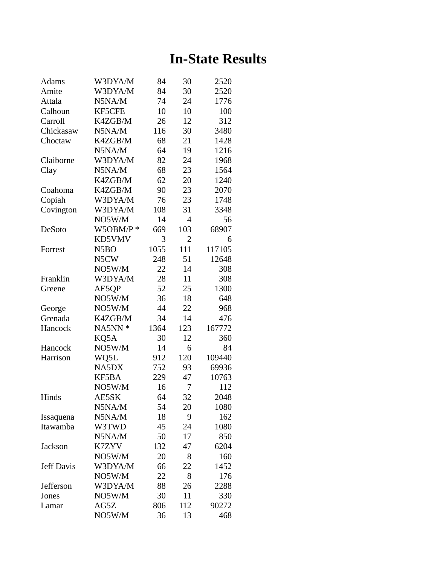## **In-State Results**

| Adams             | W3DYA/M           | 84   | 30             | 2520   |
|-------------------|-------------------|------|----------------|--------|
| Amite             | W3DYA/M           | 84   | 30             | 2520   |
| Attala            | N5NA/M            | 74   | 24             | 1776   |
| Calhoun           | <b>KF5CFE</b>     | 10   | 10             | 100    |
| Carroll           | K4ZGB/M           | 26   | 12             | 312    |
| Chickasaw         | N5NA/M            | 116  | 30             | 3480   |
| Choctaw           | K4ZGB/M           | 68   | 21             | 1428   |
|                   | N5NA/M            | 64   | 19             | 1216   |
| Claiborne         | W3DYA/M           | 82   | 24             | 1968   |
| Clay              | N5NA/M            | 68   | 23             | 1564   |
|                   | K4ZGB/M           | 62   | 20             | 1240   |
| Coahoma           | K4ZGB/M           | 90   | 23             | 2070   |
| Copiah            | W3DYA/M           | 76   | 23             | 1748   |
| Covington         | W3DYA/M           | 108  | 31             | 3348   |
|                   | NO5W/M            | 14   | $\overline{4}$ | 56     |
| DeSoto            | $W5OBM/P$ *       | 669  | 103            | 68907  |
|                   | KD5VMV            | 3    | $\overline{2}$ | 6      |
| Forrest           | N <sub>5</sub> BO | 1055 | 111            | 117105 |
|                   | N5CW              | 248  | 51             | 12648  |
|                   | NO5W/M            | 22   | 14             | 308    |
| Franklin          | W3DYA/M           | 28   | 11             | 308    |
| Greene            | AE5QP             | 52   | 25             | 1300   |
|                   | NO5W/M            | 36   | 18             | 648    |
| George            | NO5W/M            | 44   | 22             | 968    |
| Grenada           | K4ZGB/M           | 34   | 14             | 476    |
| Hancock           | NA5NN *           | 1364 | 123            | 167772 |
|                   | KQ5A              | 30   | 12             | 360    |
| Hancock           | NO5W/M            | 14   | 6              | 84     |
| Harrison          | WQ5L              | 912  | 120            | 109440 |
|                   | NA5DX             | 752  | 93             | 69936  |
|                   | KF5BA             | 229  | 47             | 10763  |
|                   | NO5W/M            | 16   | 7              | 112    |
| Hinds             | AE5SK             | 64   | 32             | 2048   |
|                   | N5NA/M            | 54   | 20             | 1080   |
| Issaquena         | N5NA/M            | 18   | 9              | 162    |
| Itawamba          | W3TWD             | 45   | 24             | 1080   |
|                   | N5NA/M            | 50   | 17             | 850    |
| <b>Jackson</b>    | K7ZYV             | 132  | 47             | 6204   |
|                   | NO5W/M            | 20   | 8              | 160    |
| <b>Jeff Davis</b> | W3DYA/M           | 66   | 22             | 1452   |
|                   | NO5W/M            | 22   | 8              | 176    |
| Jefferson         | W3DYA/M           | 88   | 26             | 2288   |
| Jones             | NO5W/M            | 30   | 11             | 330    |
| Lamar             | AG5Z              | 806  | 112            | 90272  |
|                   | NO5W/M            | 36   | 13             | 468    |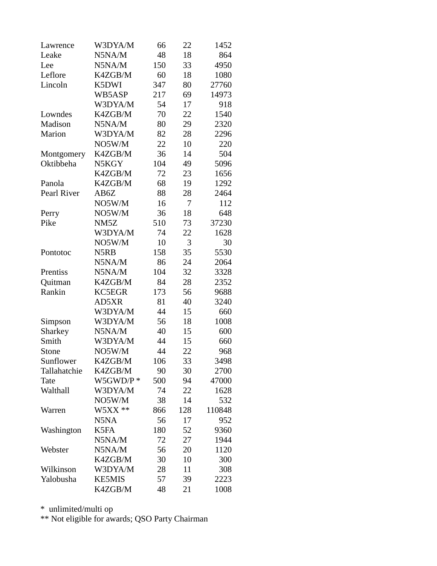| Lawrence     | W3DYA/M           | 66  | 22  | 1452   |
|--------------|-------------------|-----|-----|--------|
| Leake        | N5NA/M            | 48  | 18  | 864    |
| Lee          | N5NA/M            | 150 | 33  | 4950   |
| Leflore      | K4ZGB/M           | 60  | 18  | 1080   |
| Lincoln      | K5DWI             | 347 | 80  | 27760  |
|              | WB5ASP            | 217 | 69  | 14973  |
|              | W3DYA/M           | 54  | 17  | 918    |
| Lowndes      | K4ZGB/M           | 70  | 22  | 1540   |
| Madison      | N5NA/M            | 80  | 29  | 2320   |
| Marion       | W3DYA/M           | 82  | 28  | 2296   |
|              | NO5W/M            | 22  | 10  | 220    |
| Montgomery   | K4ZGB/M           | 36  | 14  | 504    |
| Oktibbeha    | N5KGY             | 104 | 49  | 5096   |
|              | K4ZGB/M           | 72  | 23  | 1656   |
| Panola       | K4ZGB/M           | 68  | 19  | 1292   |
| Pearl River  | AB6Z              | 88  | 28  | 2464   |
|              | NO5W/M            | 16  | 7   | 112    |
| Perry        | NO5W/M            | 36  | 18  | 648    |
| Pike         | NM <sub>5</sub> Z | 510 | 73  | 37230  |
|              | W3DYA/M           | 74  | 22  | 1628   |
|              | NO5W/M            | 10  | 3   | 30     |
| Pontotoc     | N5RB              | 158 | 35  | 5530   |
|              | N5NA/M            | 86  | 24  | 2064   |
| Prentiss     | N5NA/M            | 104 | 32  | 3328   |
| Quitman      | K4ZGB/M           | 84  | 28  | 2352   |
| Rankin       | <b>KC5EGR</b>     | 173 | 56  | 9688   |
|              | AD5XR             | 81  | 40  | 3240   |
|              | W3DYA/M           | 44  | 15  | 660    |
| Simpson      | W3DYA/M           | 56  | 18  | 1008   |
| Sharkey      | N5NA/M            | 40  | 15  | 600    |
| Smith        | W3DYA/M           | 44  | 15  | 660    |
| Stone        | NO5W/M            | 44  | 22  | 968    |
| Sunflower    | K4ZGB/M           | 106 | 33  | 3498   |
| Tallahatchie | K4ZGB/M           | 90  | 30  | 2700   |
| Tate         | $W5GWD/P*$        | 500 | 94  | 47000  |
| Walthall     | W3DYA/M           | 74  | 22  | 1628   |
|              | NO5W/M            | 38  | 14  | 532    |
| Warren       | $W5XX**$          | 866 | 128 | 110848 |
|              | N5NA              | 56  | 17  | 952    |
| Washington   | K5FA              | 180 | 52  | 9360   |
|              | N5NA/M            | 72  | 27  | 1944   |
| Webster      | N5NA/M            | 56  | 20  | 1120   |
|              | K4ZGB/M           | 30  | 10  | 300    |
| Wilkinson    | W3DYA/M           | 28  | 11  | 308    |
| Yalobusha    | <b>KE5MIS</b>     | 57  | 39  | 2223   |
|              | K4ZGB/M           | 48  | 21  | 1008   |

\* unlimited/multi op

\*\* Not eligible for awards; QSO Party Chairman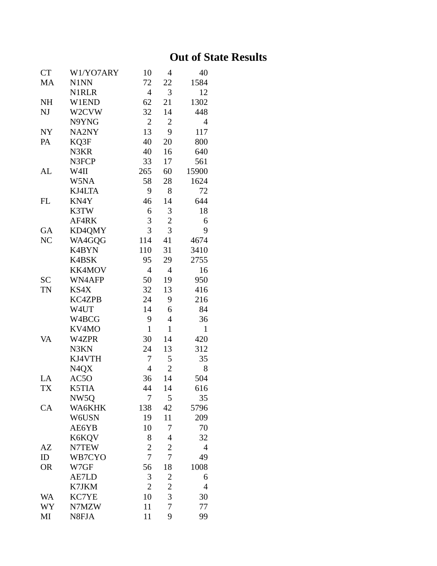## **Out of State Results**

| <b>CT</b> | W1/YO7ARY         | 10             | 4              | 40             |
|-----------|-------------------|----------------|----------------|----------------|
| MA        | N1NN              | 72             | 22             | 1584           |
|           | <b>N1RLR</b>      | $\overline{4}$ | 3              | 12             |
| <b>NH</b> | W1END             | 62             | 21             | 1302           |
| NJ        | W2CVW             | 32             | 14             | 448            |
|           | N9YNG             | $\overline{2}$ | $\overline{c}$ | 4              |
| <b>NY</b> | NA2NY             | 13             | 9              | 117            |
| PA        | KQ3F              | 40             | 20             | 800            |
|           | N3KR              | 40             | 16             | 640            |
|           | N3FCP             | 33             | 17             | 561            |
| <b>AL</b> | W4II              | 265            | 60             | 15900          |
|           | W5NA              | 58             | 28             | 1624           |
|           | KJ4LTA            | 9              | 8              | 72             |
| <b>FL</b> | KN4Y              | 46             | 14             | 644            |
|           | K3TW              | 6              | 3              | 18             |
|           | AF4RK             | 3              | $\overline{c}$ | 6              |
| GA        | KD4QMY            | 3              | 3              | 9              |
| NC        | WA4GOG            | 114            | 41             | 4674           |
|           | K4BYN             | 110            | 31             | 3410           |
|           | K4BSK             | 95             | 29             | 2755           |
|           | KK4MOV            | 4              | $\overline{4}$ | 16             |
| <b>SC</b> | WN4AFP            | 50             | 19             | 950            |
| <b>TN</b> | KS4X              | 32             | 13             | 416            |
|           | <b>KC4ZPB</b>     | 24             | 9              | 216            |
|           | W4UT              | 14             | 6              | 84             |
|           | W4BCG             | 9              | 4              | 36             |
|           | KV4MO             | $\mathbf{1}$   | $\mathbf{1}$   | $\mathbf{1}$   |
| VA        | W4ZPR             | 30             | 14             | 420            |
|           | N3KN              | 24             | 13             | 312            |
|           | KJ4VTH            | 7              | 5              | 35             |
|           | N <sub>4</sub> QX | $\overline{4}$ | $\overline{2}$ | 8              |
| LA        | AC5O              | 36             | 14             | 504            |
| <b>TX</b> | K5TIA             | 44             | 14             | 616            |
|           | NW <sub>50</sub>  | 7              | 5              | 35             |
| CA        | WA6KHK            | 138            | 42             | 5796           |
|           | W6USN             | 19             | 11             | 209            |
|           | AE6YB             | 10             | 7              | 70             |
|           | K6KQV             | 8              | 4              | 32             |
| AZ        | N7TEW             | $\overline{2}$ | $\overline{2}$ | $\overline{4}$ |
| ID        | WB7CYO            | 7              | 7              | 49             |
| <b>OR</b> | W7GF              | 56             | 18             | 1008           |
|           | AE7LD             | 3              | $\overline{c}$ | 6              |
|           | K7JKM             | $\overline{c}$ | $\overline{c}$ | 4              |
| <b>WA</b> | KC7YE             | 10             | 3              | 30             |
| WY        | N7MZW             | 11             | 7              | 77             |
| MI        | N8FJA             | 11             | 9              | 99             |
|           |                   |                |                |                |